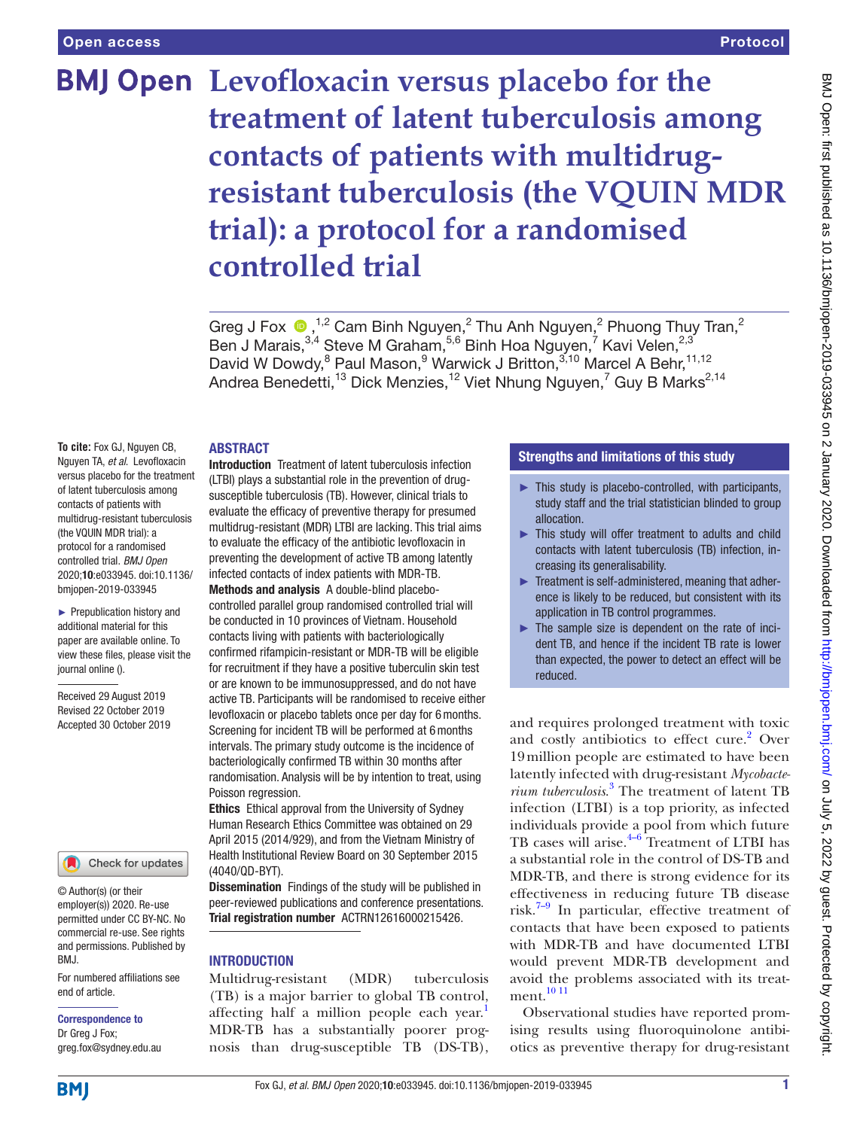# **BMJ Open** Levofloxacin versus placebo for the **treatment of latent tuberculosis among contacts of patients with multidrugresistant tuberculosis (the VQUIN MDR trial): a protocol for a randomised controlled trial**

GregJ Fox  $\bullet$ , <sup>1,2</sup> Cam Binh Nguyen,<sup>2</sup> Thu Anh Nguyen,<sup>2</sup> Phuong Thuy Tran,<sup>2</sup> Ben J Marais, 3,4 Steve M Graham, 5,6 Binh Hoa Nguyen, 7 Kavi Velen, 2,3 David W Dowdy, <sup>8</sup> Paul Mason, <sup>9</sup> Warwick J Britton, <sup>3,10</sup> Marcel A Behr, <sup>11,12</sup> Andrea Benedetti,<sup>13</sup> Dick Menzies,<sup>12</sup> Viet Nhung Nguyen,<sup>7</sup> Guy B Marks<sup>2,14</sup>

#### **ABSTRACT**

**To cite:** Fox GJ, Nguyen CB, Nguyen TA, *et al*. Levofloxacin versus placebo for the treatment of latent tuberculosis among contacts of patients with multidrug-resistant tuberculosis (the VQUIN MDR trial): a protocol for a randomised controlled trial. *BMJ Open* 2020;10:e033945. doi:10.1136/ bmjopen-2019-033945

► Prepublication history and additional material for this paper are available online. To view these files, please visit the journal online ().

Received 29 August 2019 Revised 22 October 2019 Accepted 30 October 2019



© Author(s) (or their employer(s)) 2020. Re-use permitted under CC BY-NC. No commercial re-use. See rights and permissions. Published by BMJ.

For numbered affiliations see end of article.

# Correspondence to Dr Greg J Fox;

greg.fox@sydney.edu.au

Introduction Treatment of latent tuberculosis infection (LTBI) plays a substantial role in the prevention of drugsusceptible tuberculosis (TB). However, clinical trials to evaluate the efficacy of preventive therapy for presumed multidrug-resistant (MDR) LTBI are lacking. This trial aims to evaluate the efficacy of the antibiotic levofloxacin in preventing the development of active TB among latently infected contacts of index patients with MDR-TB. Methods and analysis A double-blind placebocontrolled parallel group randomised controlled trial will be conducted in 10 provinces of Vietnam. Household contacts living with patients with bacteriologically confirmed rifampicin-resistant or MDR-TB will be eligible for recruitment if they have a positive tuberculin skin test or are known to be immunosuppressed, and do not have active TB. Participants will be randomised to receive either levofloxacin or placebo tablets once per day for 6months. Screening for incident TB will be performed at 6months intervals. The primary study outcome is the incidence of bacteriologically confirmed TB within 30 months after randomisation. Analysis will be by intention to treat, using Poisson regression.

Ethics Ethical approval from the University of Sydney Human Research Ethics Committee was obtained on 29 April 2015 (2014/929), and from the Vietnam Ministry of Health Institutional Review Board on 30 September 2015 (4040/QD-BYT).

Dissemination Findings of the study will be published in peer-reviewed publications and conference presentations. Trial registration number ACTRN12616000215426.

# **INTRODUCTION**

Multidrug-resistant (MDR) tuberculosis (TB) is a major barrier to global TB control, affecting half a million people each year.<sup>[1](#page-7-0)</sup> MDR-TB has a substantially poorer prognosis than drug-susceptible TB (DS-TB),

## Strengths and limitations of this study

- ► This study is placebo-controlled, with participants, study staff and the trial statistician blinded to group allocation.
- ► This study will offer treatment to adults and child contacts with latent tuberculosis (TB) infection, increasing its generalisability.
- ► Treatment is self-administered, meaning that adherence is likely to be reduced, but consistent with its application in TB control programmes.
- $\blacktriangleright$  The sample size is dependent on the rate of incident TB, and hence if the incident TB rate is lower than expected, the power to detect an effect will be reduced.

and requires prolonged treatment with toxic and costly antibiotics to effect cure.<sup>[2](#page-7-1)</sup> Over 19million people are estimated to have been latently infected with drug-resistant *Mycobacterium tuberculosis*. [3](#page-7-2) The treatment of latent TB infection (LTBI) is a top priority, as infected individuals provide a pool from which future TB cases will arise. $4-6$  Treatment of LTBI has a substantial role in the control of DS-TB and MDR-TB, and there is strong evidence for its effectiveness in reducing future TB disease risk. $7-9$  In particular, effective treatment of contacts that have been exposed to patients with MDR-TB and have documented LTBI would prevent MDR-TB development and avoid the problems associated with its treat-ment.<sup>[10 11](#page-7-5)</sup>

Observational studies have reported promising results using fluoroquinolone antibiotics as preventive therapy for drug-resistant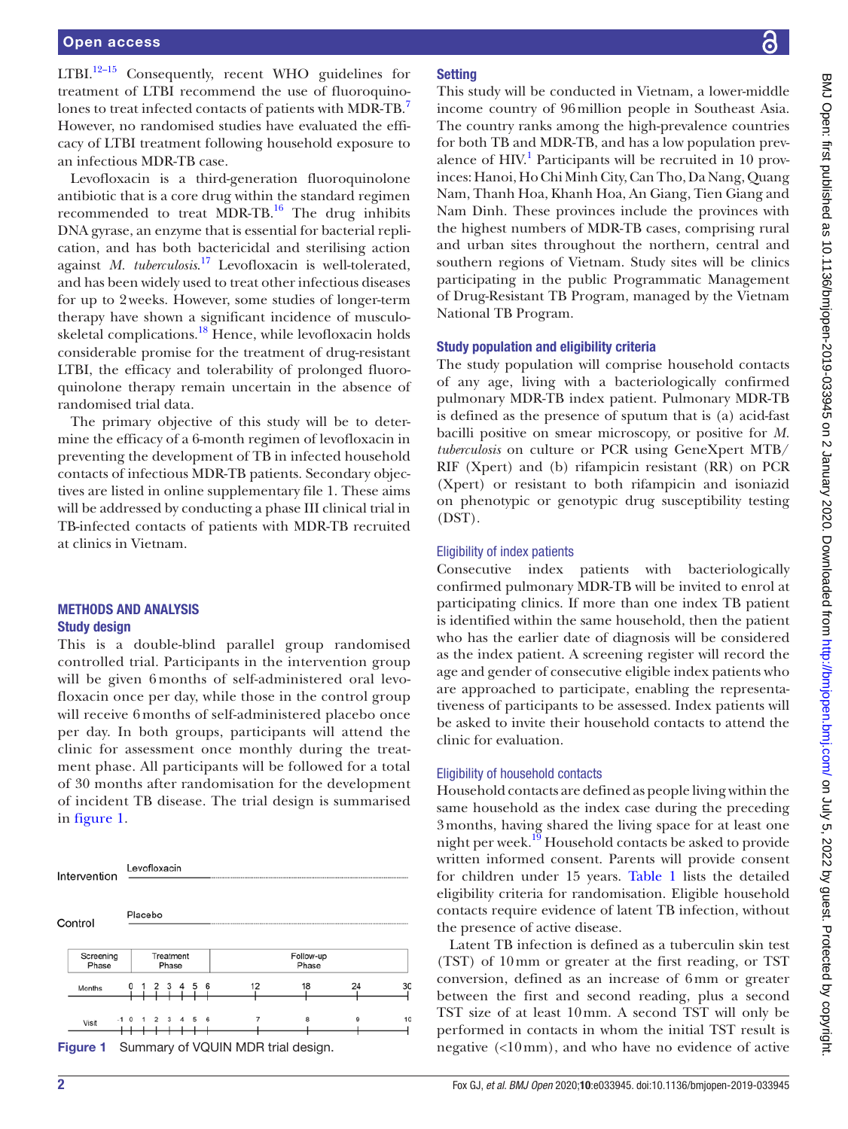LTBI.<sup>12-15</sup> Consequently, recent WHO guidelines for treatment of LTBI recommend the use of fluoroquino-lones to treat infected contacts of patients with MDR-TB.<sup>[7](#page-7-4)</sup> However, no randomised studies have evaluated the efficacy of LTBI treatment following household exposure to an infectious MDR-TB case.

Levofloxacin is a third-generation fluoroquinolone antibiotic that is a core drug within the standard regimen recommended to treat MDR-TB.<sup>16</sup> The drug inhibits DNA gyrase, an enzyme that is essential for bacterial replication, and has both bactericidal and sterilising action against *M. tuberculosis*. [17](#page-7-8) Levofloxacin is well-tolerated, and has been widely used to treat other infectious diseases for up to 2weeks. However, some studies of longer-term therapy have shown a significant incidence of musculo-skeletal complications.<sup>[18](#page-7-9)</sup> Hence, while levofloxacin holds considerable promise for the treatment of drug-resistant LTBI, the efficacy and tolerability of prolonged fluoroquinolone therapy remain uncertain in the absence of randomised trial data.

The primary objective of this study will be to determine the efficacy of a 6-month regimen of levofloxacin in preventing the development of TB in infected household contacts of infectious MDR-TB patients. Secondary objectives are listed in [online supplementary file 1.](https://dx.doi.org/10.1136/bmjopen-2019-033945) These aims will be addressed by conducting a phase III clinical trial in TB-infected contacts of patients with MDR-TB recruited at clinics in Vietnam.

## Methods and analysis Study design

This is a double-blind parallel group randomised controlled trial. Participants in the intervention group will be given 6 months of self-administered oral levofloxacin once per day, while those in the control group will receive 6 months of self-administered placebo once per day. In both groups, participants will attend the clinic for assessment once monthly during the treatment phase. All participants will be followed for a total of 30 months after randomisation for the development of incident TB disease. The trial design is summarised in [figure](#page-1-0) 1.

<span id="page-1-0"></span>

# **Setting**

This study will be conducted in Vietnam, a lower-middle income country of 96million people in Southeast Asia. The country ranks among the high-prevalence countries for both TB and MDR-TB, and has a low population prevalence of HIV.<sup>1</sup> Participants will be recruited in 10 provinces: Hanoi, Ho Chi Minh City, Can Tho, Da Nang, Quang Nam, Thanh Hoa, Khanh Hoa, An Giang, Tien Giang and Nam Dinh. These provinces include the provinces with the highest numbers of MDR-TB cases, comprising rural and urban sites throughout the northern, central and southern regions of Vietnam. Study sites will be clinics participating in the public Programmatic Management of Drug-Resistant TB Program, managed by the Vietnam National TB Program.

# Study population and eligibility criteria

The study population will comprise household contacts of any age, living with a bacteriologically confirmed pulmonary MDR-TB index patient. Pulmonary MDR-TB is defined as the presence of sputum that is (a) acid-fast bacilli positive on smear microscopy, or positive for *M. tuberculosis* on culture or PCR using GeneXpert MTB/ RIF (Xpert) and (b) rifampicin resistant (RR) on PCR (Xpert) or resistant to both rifampicin and isoniazid on phenotypic or genotypic drug susceptibility testing (DST).

# Eligibility of index patients

Consecutive index patients with bacteriologically confirmed pulmonary MDR-TB will be invited to enrol at participating clinics. If more than one index TB patient is identified within the same household, then the patient who has the earlier date of diagnosis will be considered as the index patient. A screening register will record the age and gender of consecutive eligible index patients who are approached to participate, enabling the representativeness of participants to be assessed. Index patients will be asked to invite their household contacts to attend the clinic for evaluation.

# Eligibility of household contacts

Household contacts are defined as people living within the same household as the index case during the preceding 3months, having shared the living space for at least one night per week.<sup>[19](#page-7-10)</sup> Household contacts be asked to provide written informed consent. Parents will provide consent for children under 15 years. [Table](#page-2-0) 1 lists the detailed eligibility criteria for randomisation. Eligible household contacts require evidence of latent TB infection, without the presence of active disease.

Latent TB infection is defined as a tuberculin skin test (TST) of 10mm or greater at the first reading, or TST conversion, defined as an increase of 6mm or greater between the first and second reading, plus a second TST size of at least 10mm. A second TST will only be performed in contacts in whom the initial TST result is negative (<10mm), and who have no evidence of active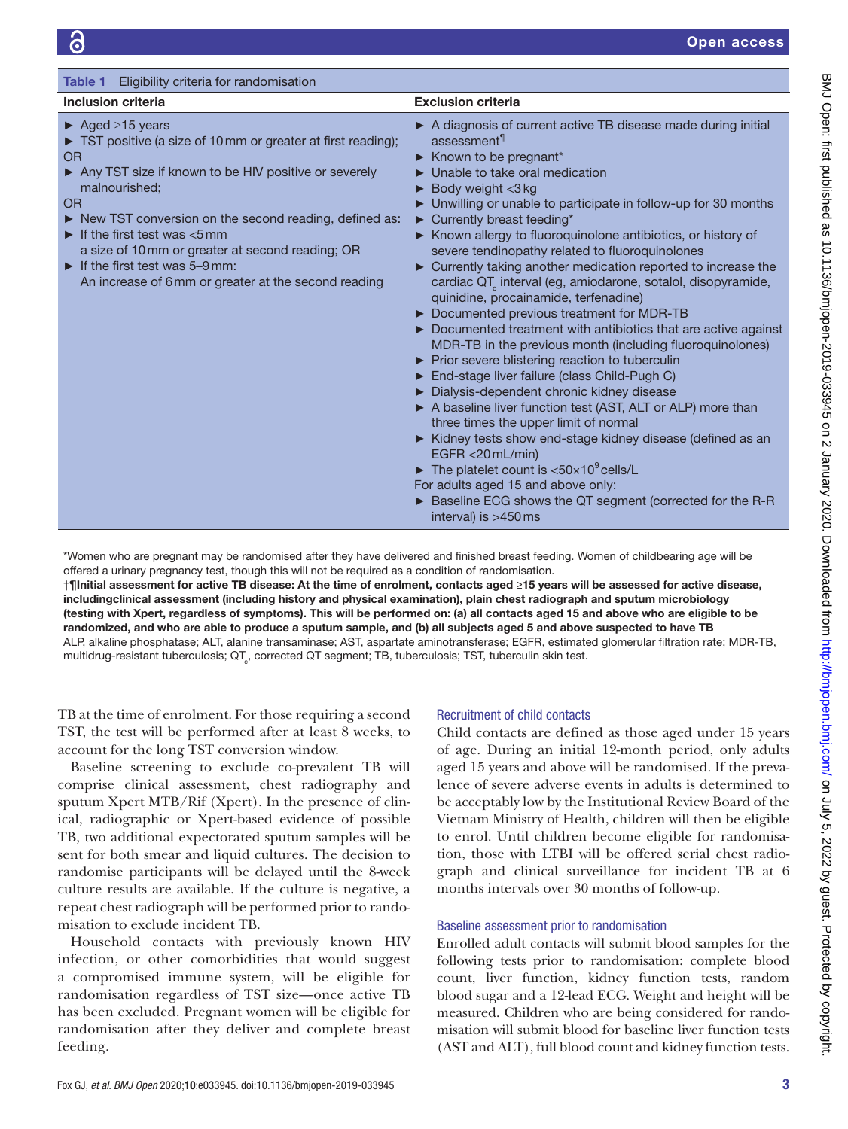<span id="page-2-0"></span>

| Eligibility criteria for randomisation<br>Table 1                                                                                                                                                                                                                                                                                                                                                                                                                                    |                                                                                                                                                                                                                                                                                                                                                                                                                                                                                                                                                                                                                                                                                                                                                                                                                                                                                                                                                                                                                                                                                                                                                                                                                                                                                                                                                                              |
|--------------------------------------------------------------------------------------------------------------------------------------------------------------------------------------------------------------------------------------------------------------------------------------------------------------------------------------------------------------------------------------------------------------------------------------------------------------------------------------|------------------------------------------------------------------------------------------------------------------------------------------------------------------------------------------------------------------------------------------------------------------------------------------------------------------------------------------------------------------------------------------------------------------------------------------------------------------------------------------------------------------------------------------------------------------------------------------------------------------------------------------------------------------------------------------------------------------------------------------------------------------------------------------------------------------------------------------------------------------------------------------------------------------------------------------------------------------------------------------------------------------------------------------------------------------------------------------------------------------------------------------------------------------------------------------------------------------------------------------------------------------------------------------------------------------------------------------------------------------------------|
| <b>Inclusion criteria</b>                                                                                                                                                                                                                                                                                                                                                                                                                                                            | <b>Exclusion criteria</b>                                                                                                                                                                                                                                                                                                                                                                                                                                                                                                                                                                                                                                                                                                                                                                                                                                                                                                                                                                                                                                                                                                                                                                                                                                                                                                                                                    |
| $\blacktriangleright$ Aged $\geq$ 15 years<br>TST positive (a size of 10 mm or greater at first reading);<br>OR<br>Any TST size if known to be HIV positive or severely<br>malnourished;<br>OR<br>► New TST conversion on the second reading, defined as:<br>$\blacktriangleright$ If the first test was $<$ 5 mm<br>a size of 10 mm or greater at second reading; OR<br>$\blacktriangleright$ If the first test was 5-9 mm:<br>An increase of 6 mm or greater at the second reading | A diagnosis of current active TB disease made during initial<br>assessment<br>$\blacktriangleright$ Known to be pregnant <sup>*</sup><br>$\blacktriangleright$ Unable to take oral medication<br>$\triangleright$ Body weight <3 kg<br>► Unwilling or unable to participate in follow-up for 30 months<br>$\blacktriangleright$ Currently breast feeding*<br>▶ Known allergy to fluoroquinolone antibiotics, or history of<br>severe tendinopathy related to fluoroquinolones<br>• Currently taking another medication reported to increase the<br>cardiac QT interval (eg, amiodarone, sotalol, disopyramide,<br>quinidine, procainamide, terfenadine)<br>Documented previous treatment for MDR-TB<br>Documented treatment with antibiotics that are active against<br>MDR-TB in the previous month (including fluoroquinolones)<br>▶ Prior severe blistering reaction to tuberculin<br>End-stage liver failure (class Child-Pugh C)<br>Dialysis-dependent chronic kidney disease<br>A baseline liver function test (AST, ALT or ALP) more than<br>three times the upper limit of normal<br>Kidney tests show end-stage kidney disease (defined as an<br>EGFR $<$ 20 mL/min)<br>The platelet count is $<$ 50 $\times$ 10 <sup>9</sup> cells/L<br>For adults aged 15 and above only:<br>▶ Baseline ECG shows the QT segment (corrected for the R-R<br>interval) is $>450$ ms |

\*Women who are pregnant may be randomised after they have delivered and finished breast feeding. Women of childbearing age will be offered a urinary pregnancy test, though this will not be required as a condition of randomisation.

†¶Initial assessment for active TB disease: At the time of enrolment, contacts aged ≥15 years will be assessed for active disease, includingclinical assessment (including history and physical examination), plain chest radiograph and sputum microbiology (testing with Xpert, regardless of symptoms). This will be performed on: (a) all contacts aged 15 and above who are eligible to be randomized, and who are able to produce a sputum sample, and (b) all subjects aged 5 and above suspected to have TB ALP, alkaline phosphatase; ALT, alanine transaminase; AST, aspartate aminotransferase; EGFR, estimated glomerular filtration rate; MDR-TB, multidrug-resistant tuberculosis;  $\textsf{QT}_\circ$ , corrected QT segment; TB, tuberculosis; TST, tuberculin skin test.

TB at the time of enrolment. For those requiring a second TST, the test will be performed after at least 8 weeks, to account for the long TST conversion window.

Baseline screening to exclude co-prevalent TB will comprise clinical assessment, chest radiography and sputum Xpert MTB/Rif (Xpert). In the presence of clinical, radiographic or Xpert-based evidence of possible TB, two additional expectorated sputum samples will be sent for both smear and liquid cultures. The decision to randomise participants will be delayed until the 8-week culture results are available. If the culture is negative, a repeat chest radiograph will be performed prior to randomisation to exclude incident TB.

Household contacts with previously known HIV infection, or other comorbidities that would suggest a compromised immune system, will be eligible for randomisation regardless of TST size—once active TB has been excluded. Pregnant women will be eligible for randomisation after they deliver and complete breast feeding.

# Recruitment of child contacts

Child contacts are defined as those aged under 15 years of age. During an initial 12-month period, only adults aged 15 years and above will be randomised. If the prevalence of severe adverse events in adults is determined to be acceptably low by the Institutional Review Board of the Vietnam Ministry of Health, children will then be eligible to enrol. Until children become eligible for randomisation, those with LTBI will be offered serial chest radiograph and clinical surveillance for incident TB at 6 months intervals over 30 months of follow-up.

## Baseline assessment prior to randomisation

Enrolled adult contacts will submit blood samples for the following tests prior to randomisation: complete blood count, liver function, kidney function tests, random blood sugar and a 12-lead ECG. Weight and height will be measured. Children who are being considered for randomisation will submit blood for baseline liver function tests (AST and ALT), full blood count and kidney function tests.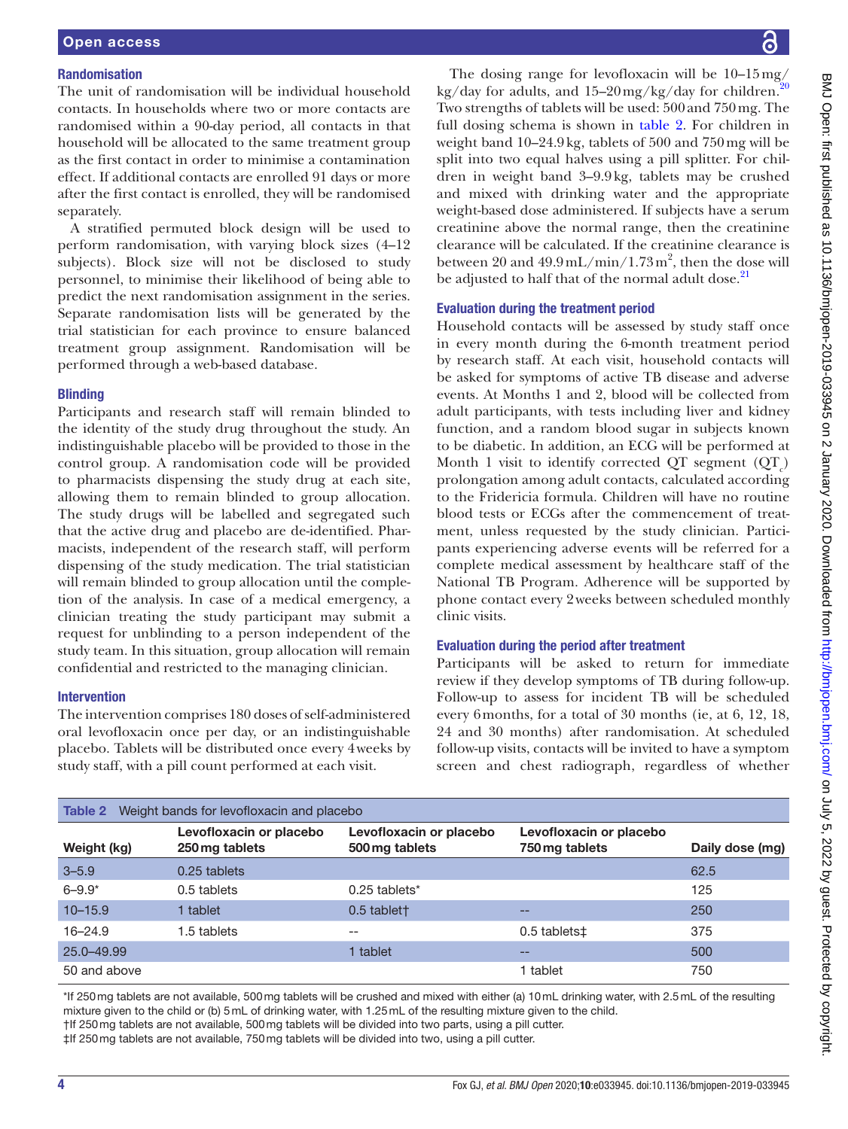## Randomisation

The unit of randomisation will be individual household contacts. In households where two or more contacts are randomised within a 90-day period, all contacts in that household will be allocated to the same treatment group as the first contact in order to minimise a contamination effect. If additional contacts are enrolled 91 days or more after the first contact is enrolled, they will be randomised separately.

A stratified permuted block design will be used to perform randomisation, with varying block sizes (4–12 subjects). Block size will not be disclosed to study personnel, to minimise their likelihood of being able to predict the next randomisation assignment in the series. Separate randomisation lists will be generated by the trial statistician for each province to ensure balanced treatment group assignment. Randomisation will be performed through a web-based database.

## **Blinding**

Participants and research staff will remain blinded to the identity of the study drug throughout the study. An indistinguishable placebo will be provided to those in the control group. A randomisation code will be provided to pharmacists dispensing the study drug at each site, allowing them to remain blinded to group allocation. The study drugs will be labelled and segregated such that the active drug and placebo are de-identified. Pharmacists, independent of the research staff, will perform dispensing of the study medication. The trial statistician will remain blinded to group allocation until the completion of the analysis. In case of a medical emergency, a clinician treating the study participant may submit a request for unblinding to a person independent of the study team. In this situation, group allocation will remain confidential and restricted to the managing clinician.

## Intervention

The intervention comprises 180 doses of self-administered oral levofloxacin once per day, or an indistinguishable placebo. Tablets will be distributed once every 4weeks by study staff, with a pill count performed at each visit.

The dosing range for levofloxacin will be 10–15mg/ kg/day for adults, and  $15-20$  $15-20$  mg/kg/day for children.<sup>2</sup> Two strengths of tablets will be used: 500and 750mg. The full dosing schema is shown in [table](#page-3-0) 2. For children in weight band 10–24.9kg, tablets of 500 and 750mg will be split into two equal halves using a pill splitter. For children in weight band 3–9.9kg, tablets may be crushed and mixed with drinking water and the appropriate weight-based dose administered. If subjects have a serum creatinine above the normal range, then the creatinine clearance will be calculated. If the creatinine clearance is between 20 and  $49.9 \text{ mL/min} / 1.73 \text{ m}^2$ , then the dose will be adjusted to half that of the normal adult dose.<sup>21</sup>

# Evaluation during the treatment period

Household contacts will be assessed by study staff once in every month during the 6-month treatment period by research staff. At each visit, household contacts will be asked for symptoms of active TB disease and adverse events. At Months 1 and 2, blood will be collected from adult participants, with tests including liver and kidney function, and a random blood sugar in subjects known to be diabetic. In addition, an ECG will be performed at Month 1 visit to identify corrected QT segment  $(QT_c)$ prolongation among adult contacts, calculated according to the Fridericia formula. Children will have no routine blood tests or ECGs after the commencement of treatment, unless requested by the study clinician. Participants experiencing adverse events will be referred for a complete medical assessment by healthcare staff of the National TB Program. Adherence will be supported by phone contact every 2weeks between scheduled monthly clinic visits.

## Evaluation during the period after treatment

Participants will be asked to return for immediate review if they develop symptoms of TB during follow-up. Follow-up to assess for incident TB will be scheduled every 6months, for a total of 30 months (ie, at 6, 12, 18, 24 and 30 months) after randomisation. At scheduled follow-up visits, contacts will be invited to have a symptom screen and chest radiograph, regardless of whether

<span id="page-3-0"></span>

| Weight bands for levofloxacin and placebo<br>Table 2 |                                           |                                           |                                           |                 |  |
|------------------------------------------------------|-------------------------------------------|-------------------------------------------|-------------------------------------------|-----------------|--|
| Weight (kg)                                          | Levofloxacin or placebo<br>250 mg tablets | Levofloxacin or placebo<br>500 mg tablets | Levofloxacin or placebo<br>750 mg tablets | Daily dose (mg) |  |
| $3 - 5.9$                                            | 0.25 tablets                              |                                           |                                           | 62.5            |  |
| $6 - 9.9*$                                           | 0.5 tablets                               | 0.25 tablets*                             |                                           | 125             |  |
| $10 - 15.9$                                          | 1 tablet                                  | 0.5 tablet <sup>+</sup>                   | --                                        | 250             |  |
| $16 - 24.9$                                          | 1.5 tablets                               | --                                        | 0.5 tablets <sup><math>\pm</math></sup>   | 375             |  |
| 25.0-49.99                                           |                                           | 1 tablet                                  | $- -$                                     | 500             |  |
| 50 and above                                         |                                           |                                           | 1 tablet                                  | 750             |  |

\*If 250mg tablets are not available, 500mg tablets will be crushed and mixed with either (a) 10mL drinking water, with 2.5mL of the resulting mixture given to the child or (b) 5mL of drinking water, with 1.25mL of the resulting mixture given to the child. †If 250mg tablets are not available, 500mg tablets will be divided into two parts, using a pill cutter.

‡If 250mg tablets are not available, 750mg tablets will be divided into two, using a pill cutter.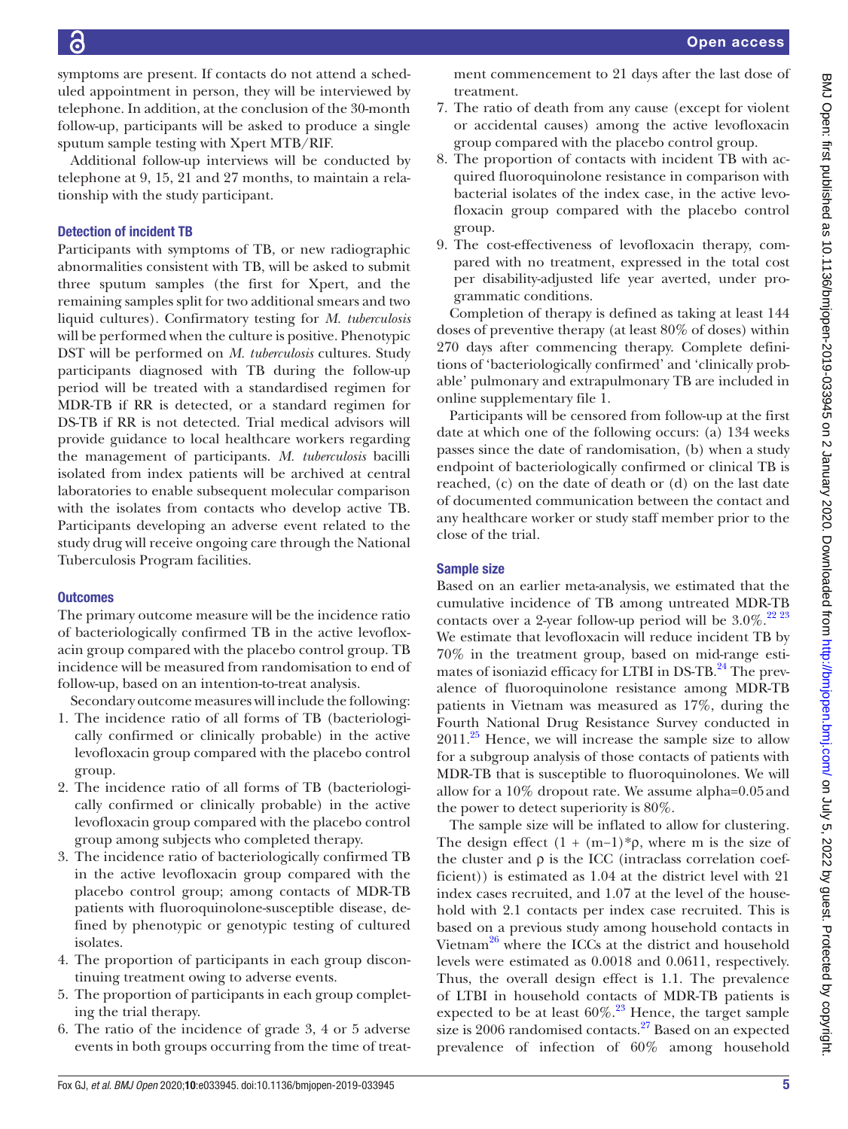symptoms are present. If contacts do not attend a scheduled appointment in person, they will be interviewed by telephone. In addition, at the conclusion of the 30-month follow-up, participants will be asked to produce a single sputum sample testing with Xpert MTB/RIF.

Additional follow-up interviews will be conducted by telephone at 9, 15, 21 and 27 months, to maintain a relationship with the study participant.

# Detection of incident TB

Participants with symptoms of TB, or new radiographic abnormalities consistent with TB, will be asked to submit three sputum samples (the first for Xpert, and the remaining samples split for two additional smears and two liquid cultures). Confirmatory testing for *M. tuberculosis* will be performed when the culture is positive. Phenotypic DST will be performed on *M. tuberculosis* cultures. Study participants diagnosed with TB during the follow-up period will be treated with a standardised regimen for MDR-TB if RR is detected, or a standard regimen for DS-TB if RR is not detected. Trial medical advisors will provide guidance to local healthcare workers regarding the management of participants. *M. tuberculosis* bacilli isolated from index patients will be archived at central laboratories to enable subsequent molecular comparison with the isolates from contacts who develop active TB. Participants developing an adverse event related to the study drug will receive ongoing care through the National Tuberculosis Program facilities.

## **Outcomes**

The primary outcome measure will be the incidence ratio of bacteriologically confirmed TB in the active levofloxacin group compared with the placebo control group. TB incidence will be measured from randomisation to end of follow-up, based on an intention-to-treat analysis.

Secondary outcome measures will include the following:

- 1. The incidence ratio of all forms of TB (bacteriologically confirmed or clinically probable) in the active levofloxacin group compared with the placebo control group.
- 2. The incidence ratio of all forms of TB (bacteriologically confirmed or clinically probable) in the active levofloxacin group compared with the placebo control group among subjects who completed therapy.
- 3. The incidence ratio of bacteriologically confirmed TB in the active levofloxacin group compared with the placebo control group; among contacts of MDR-TB patients with fluoroquinolone-susceptible disease, defined by phenotypic or genotypic testing of cultured isolates.
- 4. The proportion of participants in each group discontinuing treatment owing to adverse events.
- 5. The proportion of participants in each group completing the trial therapy.
- 6. The ratio of the incidence of grade 3, 4 or 5 adverse events in both groups occurring from the time of treat-

ment commencement to 21 days after the last dose of treatment.

- 7. The ratio of death from any cause (except for violent or accidental causes) among the active levofloxacin group compared with the placebo control group.
- 8. The proportion of contacts with incident TB with acquired fluoroquinolone resistance in comparison with bacterial isolates of the index case, in the active levofloxacin group compared with the placebo control group.
- 9. The cost-effectiveness of levofloxacin therapy, compared with no treatment, expressed in the total cost per disability-adjusted life year averted, under programmatic conditions.

Completion of therapy is defined as taking at least 144 doses of preventive therapy (at least 80% of doses) within 270 days after commencing therapy. Complete definitions of 'bacteriologically confirmed' and 'clinically probable' pulmonary and extrapulmonary TB are included in [online supplementary file 1.](https://dx.doi.org/10.1136/bmjopen-2019-033945)

Participants will be censored from follow-up at the first date at which one of the following occurs: (a) 134 weeks passes since the date of randomisation, (b) when a study endpoint of bacteriologically confirmed or clinical TB is reached, (c) on the date of death or (d) on the last date of documented communication between the contact and any healthcare worker or study staff member prior to the close of the trial.

## Sample size

Based on an earlier meta-analysis, we estimated that the cumulative incidence of TB among untreated MDR-TB contacts over a 2-year follow-up period will be  $3.0\%$ .<sup>[22 23](#page-7-13)</sup> We estimate that levofloxacin will reduce incident TB by 70% in the treatment group, based on mid-range estimates of isoniazid efficacy for LTBI in  $DS-TB<sup>24</sup>$  The prevalence of fluoroquinolone resistance among MDR-TB patients in Vietnam was measured as 17%, during the Fourth National Drug Resistance Survey conducted in  $2011.^{25}$  Hence, we will increase the sample size to allow for a subgroup analysis of those contacts of patients with MDR-TB that is susceptible to fluoroquinolones. We will allow for a 10% dropout rate. We assume alpha=0.05and the power to detect superiority is 80%.

The sample size will be inflated to allow for clustering. The design effect  $(1 + (m-1)*\rho)$ , where m is the size of the cluster and  $\rho$  is the ICC (intraclass correlation coefficient)) is estimated as 1.04 at the district level with 21 index cases recruited, and 1.07 at the level of the household with 2.1 contacts per index case recruited. This is based on a previous study among household contacts in Vietnam<sup>26</sup> where the ICCs at the district and household levels were estimated as 0.0018 and 0.0611, respectively. Thus, the overall design effect is 1.1. The prevalence of LTBI in household contacts of MDR-TB patients is expected to be at least  $60\%$ .<sup>[23](#page-7-17)</sup> Hence, the target sample size is 2006 randomised contacts. $27$  Based on an expected prevalence of infection of 60% among household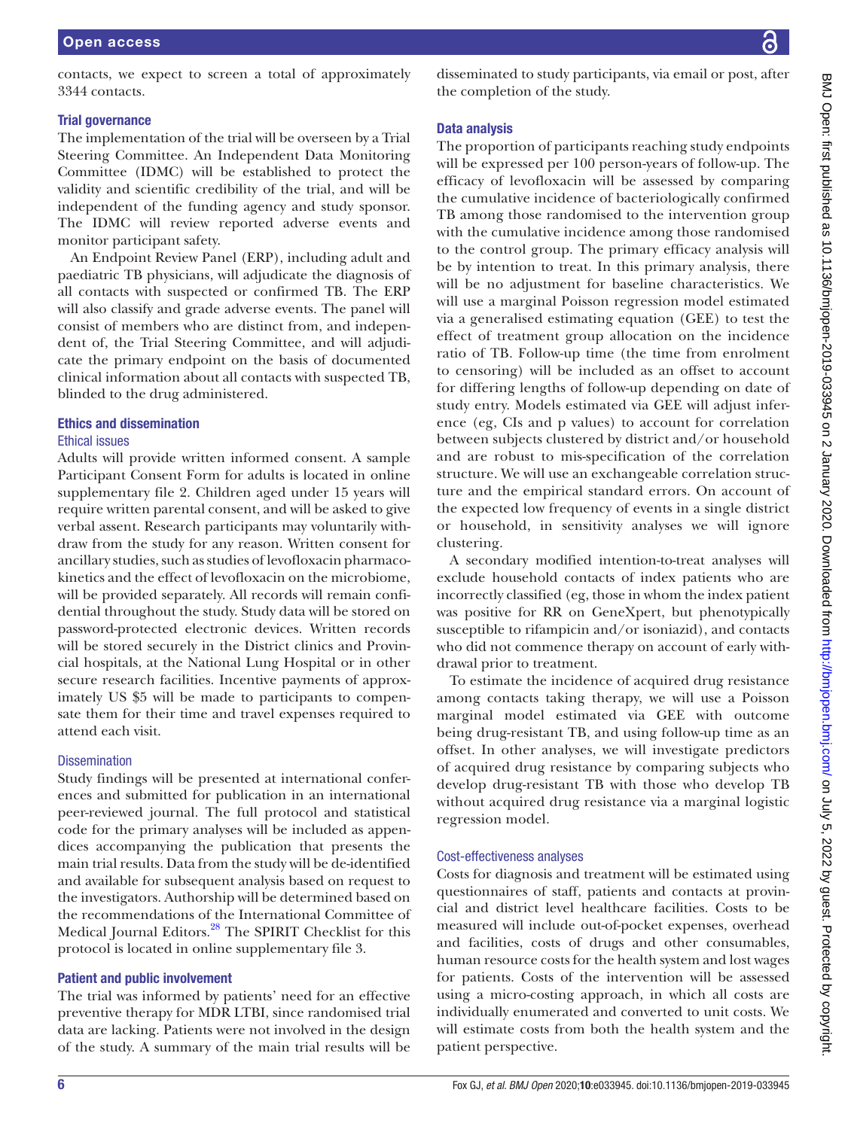contacts, we expect to screen a total of approximately 3344 contacts.

## Trial governance

The implementation of the trial will be overseen by a Trial Steering Committee. An Independent Data Monitoring Committee (IDMC) will be established to protect the validity and scientific credibility of the trial, and will be independent of the funding agency and study sponsor. The IDMC will review reported adverse events and monitor participant safety.

An Endpoint Review Panel (ERP), including adult and paediatric TB physicians, will adjudicate the diagnosis of all contacts with suspected or confirmed TB. The ERP will also classify and grade adverse events. The panel will consist of members who are distinct from, and independent of, the Trial Steering Committee, and will adjudicate the primary endpoint on the basis of documented clinical information about all contacts with suspected TB, blinded to the drug administered.

## Ethics and dissemination

## Ethical issues

Adults will provide written informed consent. A sample Participant Consent Form for adults is located in [online](https://dx.doi.org/10.1136/bmjopen-2019-033945) [supplementary file 2](https://dx.doi.org/10.1136/bmjopen-2019-033945). Children aged under 15 years will require written parental consent, and will be asked to give verbal assent. Research participants may voluntarily withdraw from the study for any reason. Written consent for ancillary studies, such as studies of levofloxacin pharmacokinetics and the effect of levofloxacin on the microbiome, will be provided separately. All records will remain confidential throughout the study. Study data will be stored on password-protected electronic devices. Written records will be stored securely in the District clinics and Provincial hospitals, at the National Lung Hospital or in other secure research facilities. Incentive payments of approximately US \$5 will be made to participants to compensate them for their time and travel expenses required to attend each visit.

# **Dissemination**

Study findings will be presented at international conferences and submitted for publication in an international peer-reviewed journal. The full protocol and statistical code for the primary analyses will be included as appendices accompanying the publication that presents the main trial results. Data from the study will be de-identified and available for subsequent analysis based on request to the investigators. Authorship will be determined based on the recommendations of the International Committee of Medical Journal Editors.<sup>28</sup> The SPIRIT Checklist for this protocol is located in [online supplementary file 3.](https://dx.doi.org/10.1136/bmjopen-2019-033945)

# Patient and public involvement

The trial was informed by patients' need for an effective preventive therapy for MDR LTBI, since randomised trial data are lacking. Patients were not involved in the design of the study. A summary of the main trial results will be

disseminated to study participants, via email or post, after the completion of the study.

## Data analysis

The proportion of participants reaching study endpoints will be expressed per 100 person-years of follow-up. The efficacy of levofloxacin will be assessed by comparing the cumulative incidence of bacteriologically confirmed TB among those randomised to the intervention group with the cumulative incidence among those randomised to the control group. The primary efficacy analysis will be by intention to treat. In this primary analysis, there will be no adjustment for baseline characteristics. We will use a marginal Poisson regression model estimated via a generalised estimating equation (GEE) to test the effect of treatment group allocation on the incidence ratio of TB. Follow-up time (the time from enrolment to censoring) will be included as an offset to account for differing lengths of follow-up depending on date of study entry. Models estimated via GEE will adjust inference (eg, CIs and p values) to account for correlation between subjects clustered by district and/or household and are robust to mis-specification of the correlation structure. We will use an exchangeable correlation structure and the empirical standard errors. On account of the expected low frequency of events in a single district or household, in sensitivity analyses we will ignore clustering.

A secondary modified intention-to-treat analyses will exclude household contacts of index patients who are incorrectly classified (eg, those in whom the index patient was positive for RR on GeneXpert, but phenotypically susceptible to rifampicin and/or isoniazid), and contacts who did not commence therapy on account of early withdrawal prior to treatment.

To estimate the incidence of acquired drug resistance among contacts taking therapy, we will use a Poisson marginal model estimated via GEE with outcome being drug-resistant TB, and using follow-up time as an offset. In other analyses, we will investigate predictors of acquired drug resistance by comparing subjects who develop drug-resistant TB with those who develop TB without acquired drug resistance via a marginal logistic regression model.

# Cost-effectiveness analyses

Costs for diagnosis and treatment will be estimated using questionnaires of staff, patients and contacts at provincial and district level healthcare facilities. Costs to be measured will include out-of-pocket expenses, overhead and facilities, costs of drugs and other consumables, human resource costs for the health system and lost wages for patients. Costs of the intervention will be assessed using a micro-costing approach, in which all costs are individually enumerated and converted to unit costs. We will estimate costs from both the health system and the patient perspective.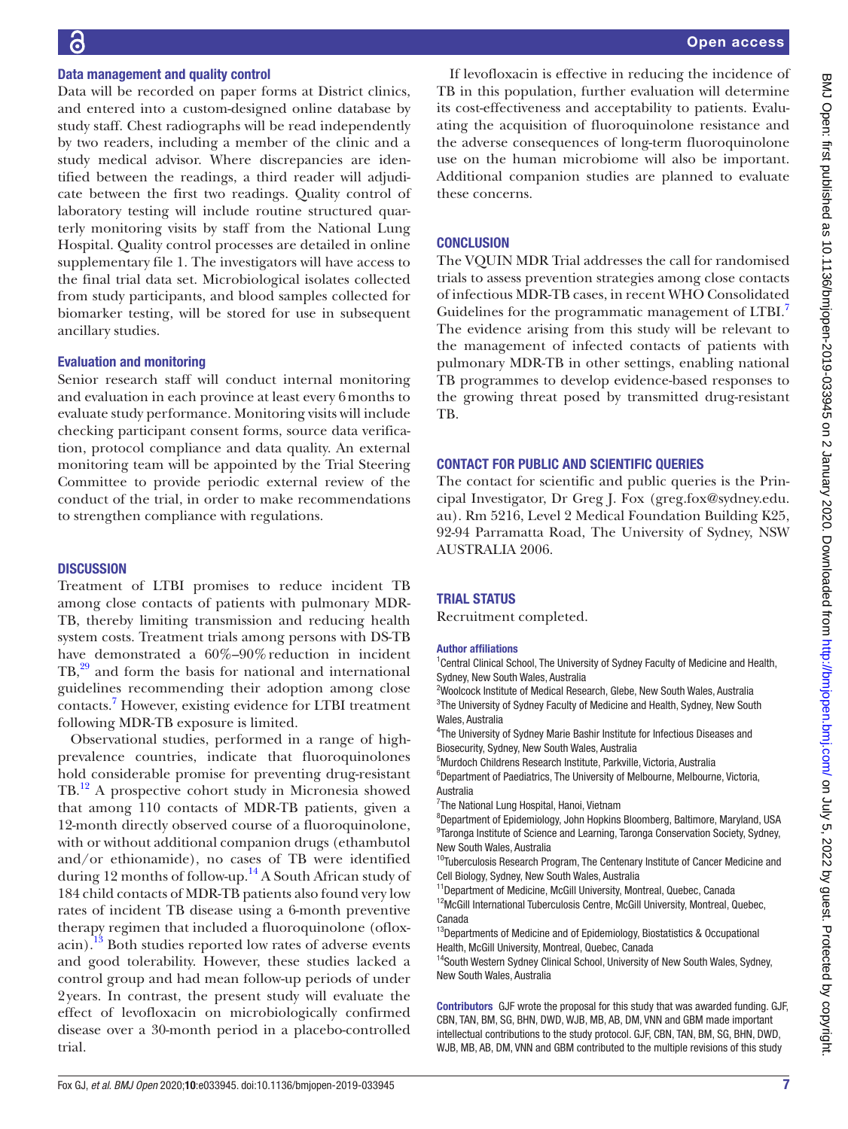#### Data management and quality control

Data will be recorded on paper forms at District clinics, and entered into a custom-designed online database by study staff. Chest radiographs will be read independently by two readers, including a member of the clinic and a study medical advisor. Where discrepancies are identified between the readings, a third reader will adjudicate between the first two readings. Quality control of laboratory testing will include routine structured quarterly monitoring visits by staff from the National Lung Hospital. Quality control processes are detailed in [online](https://dx.doi.org/10.1136/bmjopen-2019-033945) [supplementary file 1](https://dx.doi.org/10.1136/bmjopen-2019-033945). The investigators will have access to the final trial data set. Microbiological isolates collected from study participants, and blood samples collected for biomarker testing, will be stored for use in subsequent ancillary studies.

#### Evaluation and monitoring

Senior research staff will conduct internal monitoring and evaluation in each province at least every 6months to evaluate study performance. Monitoring visits will include checking participant consent forms, source data verification, protocol compliance and data quality. An external monitoring team will be appointed by the Trial Steering Committee to provide periodic external review of the conduct of the trial, in order to make recommendations to strengthen compliance with regulations.

#### **DISCUSSION**

Treatment of LTBI promises to reduce incident TB among close contacts of patients with pulmonary MDR-TB, thereby limiting transmission and reducing health system costs. Treatment trials among persons with DS-TB have demonstrated a  $60\% - 90\%$  reduction in incident TB,<sup>29</sup> and form the basis for national and international guidelines recommending their adoption among close contacts.[7](#page-7-4) However, existing evidence for LTBI treatment following MDR-TB exposure is limited.

Observational studies, performed in a range of highprevalence countries, indicate that fluoroquinolones hold considerable promise for preventing drug-resistant TB.[12](#page-7-6) A prospective cohort study in Micronesia showed that among 110 contacts of MDR-TB patients, given a 12-month directly observed course of a fluoroquinolone, with or without additional companion drugs (ethambutol and/or ethionamide), no cases of TB were identified during 12 months of follow-up.<sup>[14](#page-7-21)</sup> A South African study of 184 child contacts of MDR-TB patients also found very low rates of incident TB disease using a 6-month preventive therapy regimen that included a fluoroquinolone (ofloxacin).<sup>13</sup> Both studies reported low rates of adverse events and good tolerability. However, these studies lacked a control group and had mean follow-up periods of under 2years. In contrast, the present study will evaluate the effect of levofloxacin on microbiologically confirmed disease over a 30-month period in a placebo-controlled trial.

If levofloxacin is effective in reducing the incidence of TB in this population, further evaluation will determine its cost-effectiveness and acceptability to patients. Evaluating the acquisition of fluoroquinolone resistance and the adverse consequences of long-term fluoroquinolone use on the human microbiome will also be important. Additional companion studies are planned to evaluate these concerns.

#### **CONCLUSION**

The VQUIN MDR Trial addresses the call for randomised trials to assess prevention strategies among close contacts of infectious MDR-TB cases, in recent WHO Consolidated Guidelines for the programmatic management of LTBI.<sup>7</sup> The evidence arising from this study will be relevant to the management of infected contacts of patients with pulmonary MDR-TB in other settings, enabling national TB programmes to develop evidence-based responses to the growing threat posed by transmitted drug-resistant TB.

## Contact for Public and Scientific Queries

The contact for scientific and public queries is the Principal Investigator, Dr Greg J. Fox (greg.fox@sydney.edu. au). Rm 5216, Level 2 Medical Foundation Building K25, 92-94 Parramatta Road, The University of Sydney, NSW AUSTRALIA 2006.

#### **TRIAL STATUS**

Recruitment completed.

#### Author affiliations

<sup>1</sup> Central Clinical School, The University of Sydney Faculty of Medicine and Health, Sydney, New South Wales, Australia

<sup>2</sup>Woolcock Institute of Medical Research, Glebe, New South Wales, Australia <sup>3</sup>The University of Sydney Faculty of Medicine and Health, Sydney, New South Wales, Australia

<sup>4</sup>The University of Sydney Marie Bashir Institute for Infectious Diseases and Biosecurity, Sydney, New South Wales, Australia

5 Murdoch Childrens Research Institute, Parkville, Victoria, Australia

<sup>6</sup>Department of Paediatrics, The University of Melbourne, Melbourne, Victoria, Australia

<sup>7</sup>The National Lung Hospital, Hanoi, Vietnam

8 Department of Epidemiology, John Hopkins Bloomberg, Baltimore, Maryland, USA <sup>9</sup>Taronga Institute of Science and Learning, Taronga Conservation Society, Sydney, New South Wales, Australia

<sup>10</sup>Tuberculosis Research Program, The Centenary Institute of Cancer Medicine and Cell Biology, Sydney, New South Wales, Australia

<sup>11</sup>Department of Medicine, McGill University, Montreal, Quebec, Canada

<sup>12</sup>McGill International Tuberculosis Centre, McGill University, Montreal, Quebec, Canada

 $13$ Departments of Medicine and of Epidemiology, Biostatistics & Occupational Health, McGill University, Montreal, Quebec, Canada

<sup>14</sup>South Western Sydney Clinical School, University of New South Wales, Sydney, New South Wales, Australia

Contributors GJF wrote the proposal for this study that was awarded funding. GJF, CBN, TAN, BM, SG, BHN, DWD, WJB, MB, AB, DM, VNN and GBM made important intellectual contributions to the study protocol. GJF, CBN, TAN, BM, SG, BHN, DWD, WJB, MB, AB, DM, VNN and GBM contributed to the multiple revisions of this study